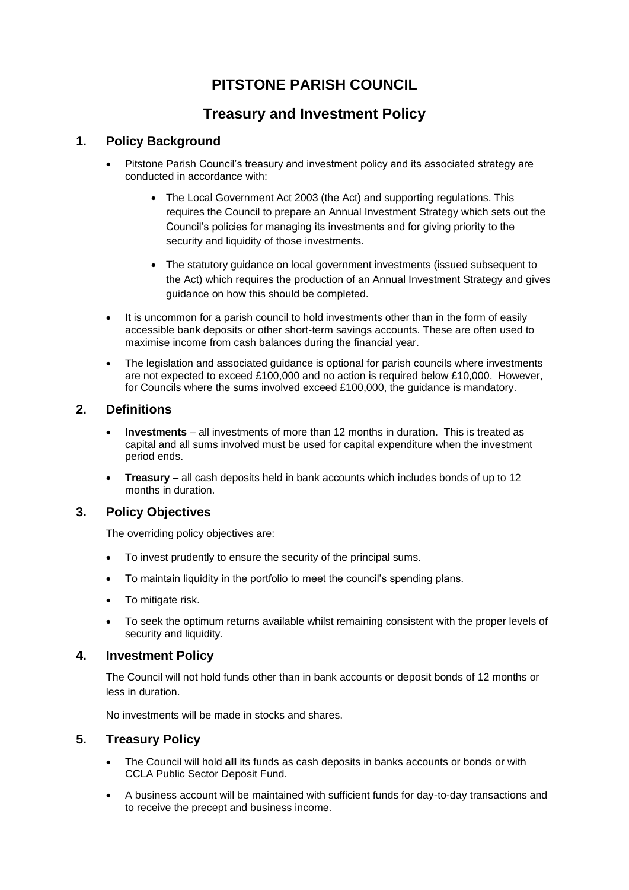# **PITSTONE PARISH COUNCIL**

## **Treasury and Investment Policy**

### **1. Policy Background**

- Pitstone Parish Council's treasury and investment policy and its associated strategy are conducted in accordance with:
	- The Local Government Act 2003 (the Act) and supporting regulations. This requires the Council to prepare an Annual Investment Strategy which sets out the Council's policies for managing its investments and for giving priority to the security and liquidity of those investments.
	- The statutory guidance on local government investments (issued subsequent to the Act) which requires the production of an Annual Investment Strategy and gives guidance on how this should be completed.
- It is uncommon for a parish council to hold investments other than in the form of easily accessible bank deposits or other short-term savings accounts. These are often used to maximise income from cash balances during the financial year.
- The legislation and associated guidance is optional for parish councils where investments are not expected to exceed £100,000 and no action is required below £10,000. However, for Councils where the sums involved exceed £100,000, the guidance is mandatory.

#### **2. Definitions**

- **Investments** all investments of more than 12 months in duration. This is treated as capital and all sums involved must be used for capital expenditure when the investment period ends.
- **Treasury** all cash deposits held in bank accounts which includes bonds of up to 12 months in duration.

### **3. Policy Objectives**

The overriding policy objectives are:

- To invest prudently to ensure the security of the principal sums.
- To maintain liquidity in the portfolio to meet the council's spending plans.
- To mitigate risk.
- To seek the optimum returns available whilst remaining consistent with the proper levels of security and liquidity.

### **4. Investment Policy**

The Council will not hold funds other than in bank accounts or deposit bonds of 12 months or less in duration.

No investments will be made in stocks and shares.

### **5. Treasury Policy**

- The Council will hold **all** its funds as cash deposits in banks accounts or bonds or with CCLA Public Sector Deposit Fund.
- A business account will be maintained with sufficient funds for day-to-day transactions and to receive the precept and business income.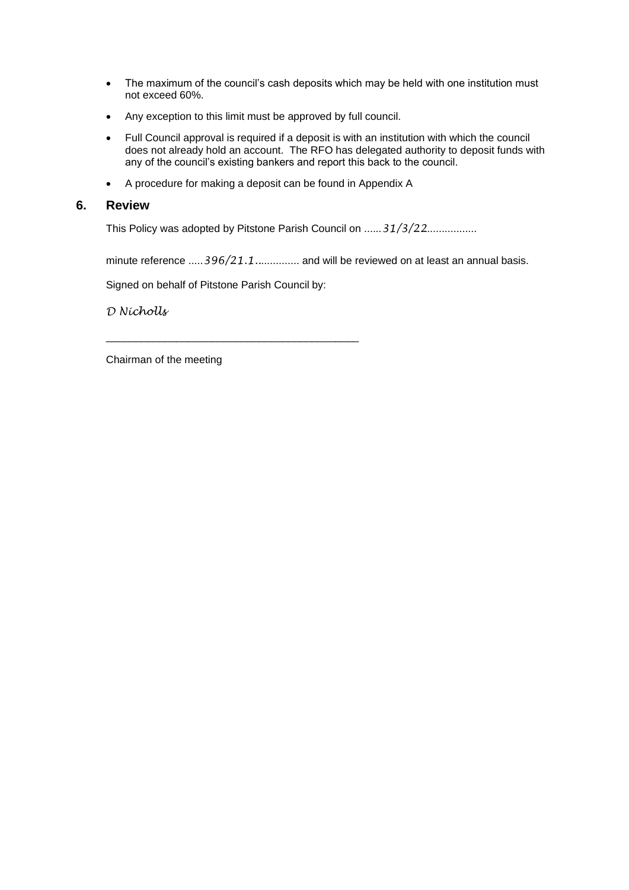- The maximum of the council's cash deposits which may be held with one institution must not exceed 60%.
- Any exception to this limit must be approved by full council.
- Full Council approval is required if a deposit is with an institution with which the council does not already hold an account. The RFO has delegated authority to deposit funds with any of the council's existing bankers and report this back to the council.
- A procedure for making a deposit can be found in Appendix A

#### **6. Review**

This Policy was adopted by Pitstone Parish Council on ......*31/3/22*.................

minute reference .....396/21.1.................. and will be reviewed on at least an annual basis.

Signed on behalf of Pitstone Parish Council by:

\_\_\_\_\_\_\_\_\_\_\_\_\_\_\_\_\_\_\_\_\_\_\_\_\_\_\_\_\_\_\_\_\_\_\_\_\_\_\_\_\_\_\_

*D Nicholls*

Chairman of the meeting